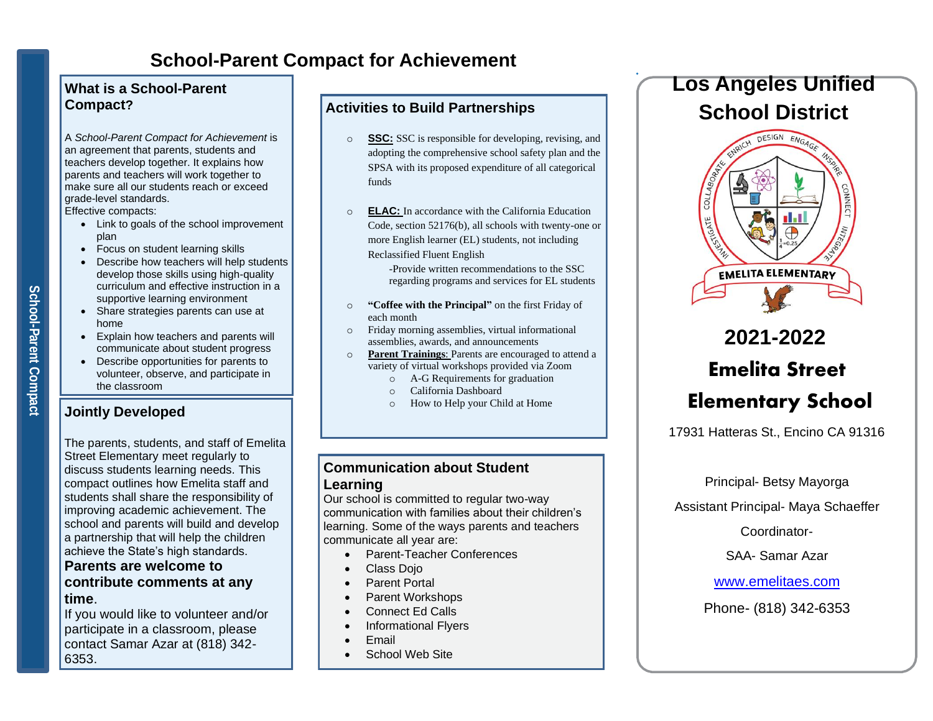# **School-Parent Compact for Achievement**

### **What is a School-Parent Compact?**

A *School-Parent Compact for Achievement* is an agreement that parents, students and teachers develop together. It explains how parents and teachers will work together to make sure all our students reach or exceed grade-level standards.

Effective compacts:

- Link to goals of the school improvement plan
- Focus on student learning skills
- Describe how teachers will help students develop those skills using high-quality curriculum and effective instruction in a supportive learning environment
- Share strategies parents can use at home
- Explain how teachers and parents will communicate about student progress
- Describe opportunities for parents to volunteer, observe, and participate in the classroom

# **Jointly Developed**

The parents, students, and staff of Emelita Street Elementary meet regularly to discuss students learning needs. This compact outlines how Emelita staff and students shall share the responsibility of improving academic achievement. The school and parents will build and develop a partnership that will help the children achieve the State's high standards.

### **Parents are welcome to contribute comments at any time**.

If you would like to volunteer and/or participate in a classroom, please contact Samar Azar at (818) 342- 6353.

# **Activities to Build Partnerships**

- o **SSC:** SSC is responsible for developing, revising, and adopting the comprehensive school safety plan and the SPSA with its proposed expenditure of all categorical funds
- o **ELAC:** In accordance with the California Education Code, section 52176(b), all schools with twenty-one or more English learner (EL) students, not including Reclassified Fluent English

-Provide written recommendations to the SSC regarding programs and services for EL students

- o **"Coffee with the Principal"** on the first Friday of each month
- o Friday morning assemblies, virtual informational assemblies, awards, and announcements
- o **Parent Trainings**: Parents are encouraged to attend a variety of virtual workshops provided via Zoom
	- o A-G Requirements for graduation
	- o California Dashboard
	- o How to Help your Child at Home

# **Communication about Student Learning**

Our school is committed to regular two-way communication with families about their children's learning. Some of the ways parents and teachers communicate all year are:

- Parent-Teacher Conferences
- Class Dojo
- Parent Portal
- Parent Workshops
- Connect Ed Calls
- Informational Flyers
- Email
- School Web Site

# **Los Angeles Unified School District**



# **2021-2022 Emelita Street Elementary School**

17931 Hatteras St., Encino CA 91316

### Principal- Betsy Mayorga

Assistant Principal- Maya Schaeffer

Coordinator-

SAA- Samar Azar

[www.emelitaes.com](http://www.emelitaes.com/)

Phone- (818) 342-6353